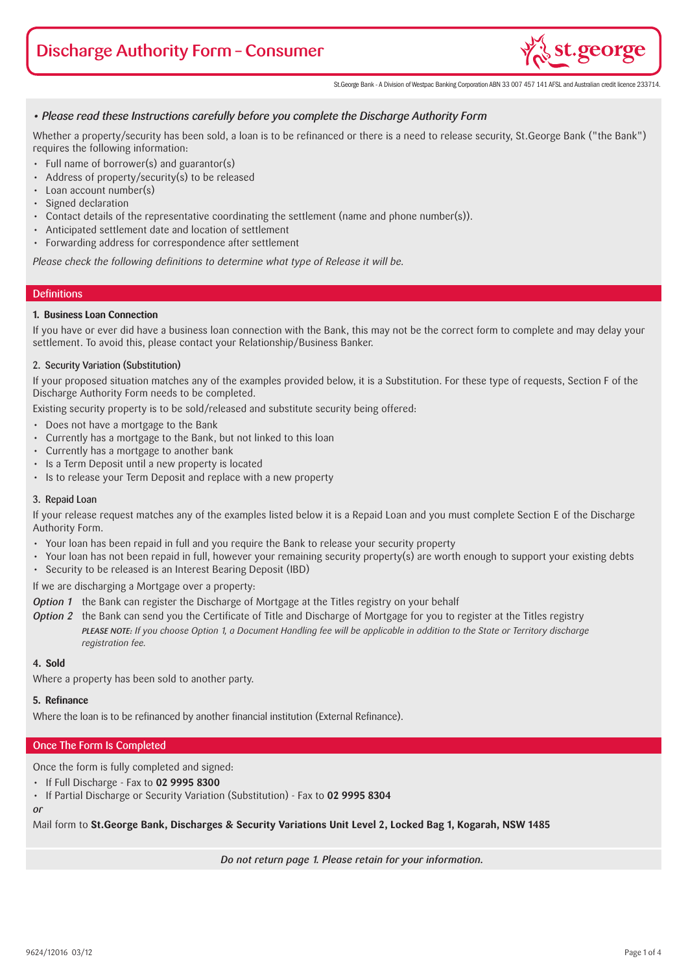# Discharge Authority Form – Consumer



St.George Bank - A Division of Westpac Banking Corporation ABN 33 007 457 141 AFSL and Australian credit licence 233714.

# *• Please read these Instructions carefully before you complete the Discharge Authority Form*

Whether a property/security has been sold, a loan is to be refinanced or there is a need to release security, St.George Bank ("the Bank") requires the following information:

- Full name of borrower(s) and guarantor(s)
- Address of property/security(s) to be released
- Loan account number(s)
- • Signed declaration
- • Contact details of the representative coordinating the settlement (name and phone number(s)).
- • Anticipated settlement date and location of settlement
- Forwarding address for correspondence after settlement

*Please check the following definitions to determine what type of Release it will be.*

#### **Definitions**

#### **1. Business Loan Connection**

If you have or ever did have a business loan connection with the Bank, this may not be the correct form to complete and may delay your settlement. To avoid this, please contact your Relationship/Business Banker.

#### 2. Security Variation (Substitution)

If your proposed situation matches any of the examples provided below, it is a Substitution. For these type of requests, Section F of the Discharge Authority Form needs to be completed.

Existing security property is to be sold/released and substitute security being offered:

- Does not have a mortgage to the Bank
- Currently has a mortgage to the Bank, but not linked to this loan
- • Currently has a mortgage to another bank
- Is a Term Deposit until a new property is located
- Is to release your Term Deposit and replace with a new property

#### 3. Repaid Loan

If your release request matches any of the examples listed below it is a Repaid Loan and you must complete Section E of the Discharge Authority Form.

- Your loan has been repaid in full and you require the Bank to release your security property
- Your loan has not been repaid in full, however your remaining security property(s) are worth enough to support your existing debts
- Security to be released is an Interest Bearing Deposit (IBD)

If we are discharging a Mortgage over a property:

- *Option 1* the Bank can register the Discharge of Mortgage at the Titles registry on your behalf
- *Option 2* the Bank can send you the Certificate of Title and Discharge of Mortgage for you to register at the Titles registry *PLEASE NOTE: If you choose Option 1, a Document Handling fee will be applicable in addition to the State or Territory discharge registration fee.*

#### **4. Sold**

Where a property has been sold to another party.

#### **5. Refinance**

Where the loan is to be refinanced by another financial institution (External Refinance).

#### Once The Form Is Completed

Once the form is fully completed and signed:

• If Full Discharge - Fax to **02 9995 8300**

• If Partial Discharge or Security Variation (Substitution) - Fax to 02 9995 8304

#### *or*

Mail form to **St.George Bank, Discharges & Security Variations Unit Level 2, Locked Bag 1, Kogarah, NSW 1485**

*Do not return page 1. Please retain for your information.*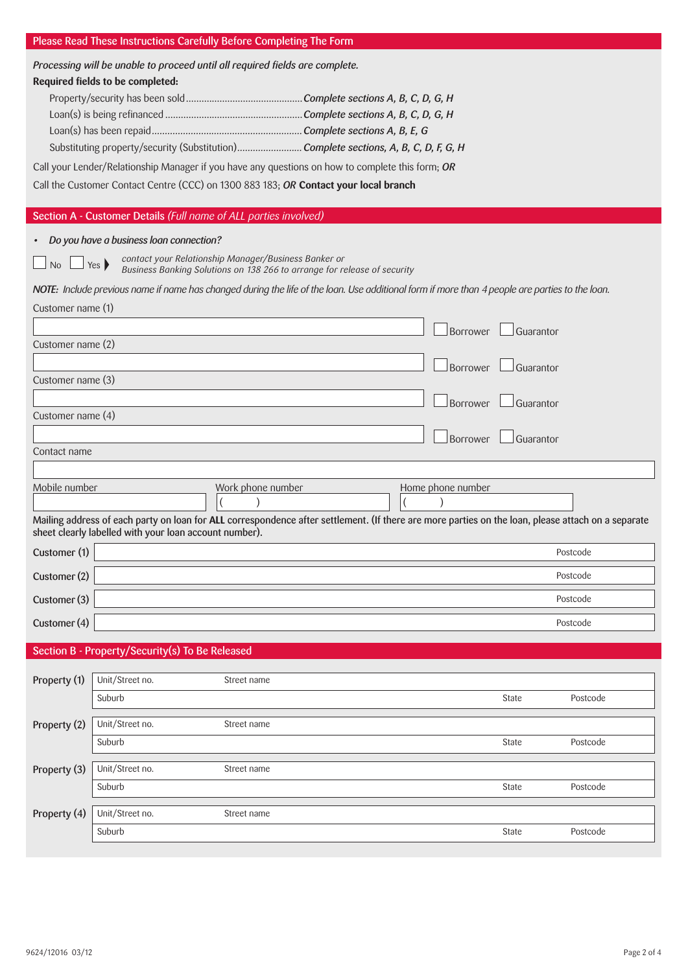# Please Read These Instructions Carefully Before Completing The Form

| Processing will be unable to proceed until all required fields are complete. |                                                                                                                                                                                                              |                                                      |                                                                          |                   |           |           |  |  |
|------------------------------------------------------------------------------|--------------------------------------------------------------------------------------------------------------------------------------------------------------------------------------------------------------|------------------------------------------------------|--------------------------------------------------------------------------|-------------------|-----------|-----------|--|--|
|                                                                              | Required fields to be completed:                                                                                                                                                                             |                                                      |                                                                          |                   |           |           |  |  |
|                                                                              |                                                                                                                                                                                                              |                                                      |                                                                          |                   |           |           |  |  |
|                                                                              |                                                                                                                                                                                                              |                                                      |                                                                          |                   |           |           |  |  |
|                                                                              | Substituting property/security (Substitution) Complete sections, A, B, C, D, F, G, H                                                                                                                         |                                                      |                                                                          |                   |           |           |  |  |
|                                                                              | Call your Lender/Relationship Manager if you have any questions on how to complete this form; OR                                                                                                             |                                                      |                                                                          |                   |           |           |  |  |
|                                                                              | Call the Customer Contact Centre (CCC) on 1300 883 183; OR Contact your local branch                                                                                                                         |                                                      |                                                                          |                   |           |           |  |  |
|                                                                              |                                                                                                                                                                                                              |                                                      |                                                                          |                   |           |           |  |  |
|                                                                              | Section A - Customer Details (Full name of ALL parties involved)                                                                                                                                             |                                                      |                                                                          |                   |           |           |  |  |
|                                                                              | Do you have a business loan connection?                                                                                                                                                                      |                                                      |                                                                          |                   |           |           |  |  |
| <b>No</b>                                                                    | Yes                                                                                                                                                                                                          | contact your Relationship Manager/Business Banker or | Business Banking Solutions on 138 266 to arrange for release of security |                   |           |           |  |  |
|                                                                              | NOTE: Include previous name if name has changed during the life of the loan. Use additional form if more than 4 people are parties to the loan.                                                              |                                                      |                                                                          |                   |           |           |  |  |
| Customer name (1)                                                            |                                                                                                                                                                                                              |                                                      |                                                                          |                   |           |           |  |  |
|                                                                              |                                                                                                                                                                                                              |                                                      |                                                                          | <b>Borrower</b>   |           | Guarantor |  |  |
| Customer name (2)                                                            |                                                                                                                                                                                                              |                                                      |                                                                          |                   |           |           |  |  |
| Customer name (3)                                                            |                                                                                                                                                                                                              |                                                      |                                                                          | Borrower          | Guarantor |           |  |  |
|                                                                              |                                                                                                                                                                                                              |                                                      |                                                                          |                   |           |           |  |  |
| Customer name (4)                                                            |                                                                                                                                                                                                              |                                                      |                                                                          | Borrower          | Guarantor |           |  |  |
|                                                                              |                                                                                                                                                                                                              |                                                      |                                                                          | Borrower          | Guarantor |           |  |  |
| Contact name                                                                 |                                                                                                                                                                                                              |                                                      |                                                                          |                   |           |           |  |  |
|                                                                              |                                                                                                                                                                                                              |                                                      |                                                                          |                   |           |           |  |  |
| Mobile number                                                                |                                                                                                                                                                                                              | Work phone number                                    |                                                                          | Home phone number |           |           |  |  |
|                                                                              |                                                                                                                                                                                                              |                                                      |                                                                          |                   |           |           |  |  |
|                                                                              | Mailing address of each party on loan for ALL correspondence after settlement. (If there are more parties on the loan, please attach on a separate<br>sheet clearly labelled with your loan account number). |                                                      |                                                                          |                   |           |           |  |  |
| Customer (1)                                                                 |                                                                                                                                                                                                              |                                                      |                                                                          |                   |           | Postcode  |  |  |
| Customer (2)                                                                 |                                                                                                                                                                                                              |                                                      |                                                                          |                   |           | Postcode  |  |  |
| Customer (3)                                                                 |                                                                                                                                                                                                              |                                                      |                                                                          |                   |           | Postcode  |  |  |
| Customer (4)                                                                 |                                                                                                                                                                                                              |                                                      |                                                                          |                   |           | Postcode  |  |  |
|                                                                              | Section B - Property/Security(s) To Be Released                                                                                                                                                              |                                                      |                                                                          |                   |           |           |  |  |
|                                                                              |                                                                                                                                                                                                              |                                                      |                                                                          |                   |           |           |  |  |
| Property (1)                                                                 | Unit/Street no.<br>Suburb                                                                                                                                                                                    | Street name                                          |                                                                          |                   | State     | Postcode  |  |  |
|                                                                              |                                                                                                                                                                                                              |                                                      |                                                                          |                   |           |           |  |  |
| Property (2)                                                                 | Unit/Street no.                                                                                                                                                                                              | Street name                                          |                                                                          |                   |           |           |  |  |
|                                                                              | Suburb                                                                                                                                                                                                       |                                                      |                                                                          |                   | State     | Postcode  |  |  |
| Property (3)                                                                 | Unit/Street no.                                                                                                                                                                                              | Street name                                          |                                                                          |                   |           |           |  |  |
|                                                                              | Suburb                                                                                                                                                                                                       |                                                      |                                                                          |                   | State     | Postcode  |  |  |
| Property (4)                                                                 | Unit/Street no.                                                                                                                                                                                              | Street name                                          |                                                                          |                   |           |           |  |  |
|                                                                              | Suburb                                                                                                                                                                                                       |                                                      |                                                                          |                   | State     | Postcode  |  |  |
|                                                                              |                                                                                                                                                                                                              |                                                      |                                                                          |                   |           |           |  |  |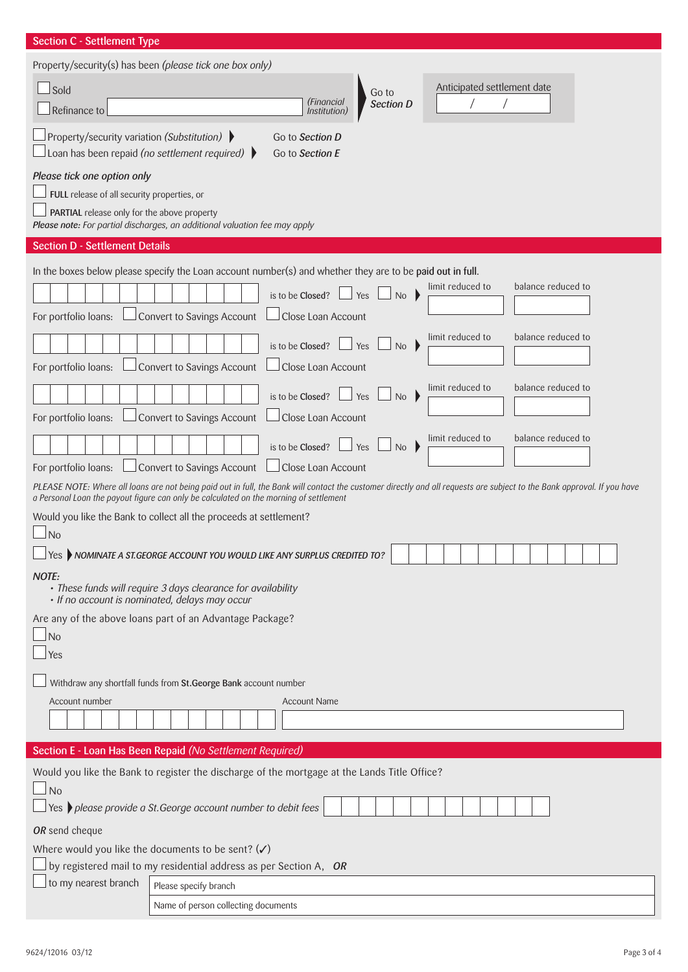| <b>Section C - Settlement Type</b>                                                                                                                                      |  |  |  |  |  |
|-------------------------------------------------------------------------------------------------------------------------------------------------------------------------|--|--|--|--|--|
| Property/security(s) has been (please tick one box only)                                                                                                                |  |  |  |  |  |
| Anticipated settlement date<br>$\Box$ Sold<br>Go to                                                                                                                     |  |  |  |  |  |
| (Financial<br>Section D<br>Refinance to<br>Institution)                                                                                                                 |  |  |  |  |  |
| Property/security variation (Substitution) ▶<br>Go to Section D<br>Loan has been repaid (no settlement required) $\blacktriangleright$<br>Go to Section E               |  |  |  |  |  |
| Please tick one option only                                                                                                                                             |  |  |  |  |  |
| FULL release of all security properties, or                                                                                                                             |  |  |  |  |  |
| PARTIAL release only for the above property<br>Please note: For partial discharges, an additional valuation fee may apply                                               |  |  |  |  |  |
|                                                                                                                                                                         |  |  |  |  |  |
| <b>Section D - Settlement Details</b>                                                                                                                                   |  |  |  |  |  |
| In the boxes below please specify the Loan account number(s) and whether they are to be paid out in full.                                                               |  |  |  |  |  |
| balance reduced to<br>limit reduced to<br>is to be Closed?<br>Yes<br>No                                                                                                 |  |  |  |  |  |
| Convert to Savings Account<br>Close Loan Account<br>For portfolio loans:                                                                                                |  |  |  |  |  |
| limit reduced to<br>balance reduced to<br>is to be Closed?<br>Yes<br>No                                                                                                 |  |  |  |  |  |
| Convert to Savings Account<br>Close Loan Account<br>For portfolio loans:                                                                                                |  |  |  |  |  |
| balance reduced to<br>limit reduced to                                                                                                                                  |  |  |  |  |  |
| is to be Closed?<br>Yes<br>No<br>Convert to Savings Account<br>Close Loan Account<br>For portfolio loans:                                                               |  |  |  |  |  |
| limit reduced to<br>balance reduced to                                                                                                                                  |  |  |  |  |  |
| is to be Closed?<br>Yes<br>No<br>Convert to Savings Account<br>Close Loan Account<br>For portfolio loans:                                                               |  |  |  |  |  |
| PLEASE NOTE: Where all loans are not being paid out in full, the Bank will contact the customer directly and all requests are subject to the Bank approval. If you have |  |  |  |  |  |
| a Personal Loan the payout figure can only be calculated on the morning of settlement                                                                                   |  |  |  |  |  |
| Would you like the Bank to collect all the proceeds at settlement?                                                                                                      |  |  |  |  |  |
| $\Box$ No<br>$\Box$ Yes $\blacktriangleright$ NOMINATE A ST.GEORGE ACCOUNT YOU WOULD LIKE ANY SURPLUS CREDITED TO?                                                      |  |  |  |  |  |
|                                                                                                                                                                         |  |  |  |  |  |
| <b>NOTE:</b><br>• These funds will require 3 days clearance for availability<br>• If no account is nominated, delays may occur                                          |  |  |  |  |  |
| Are any of the above loans part of an Advantage Package?                                                                                                                |  |  |  |  |  |
| $\Box$ No                                                                                                                                                               |  |  |  |  |  |
| $\vert$ Yes                                                                                                                                                             |  |  |  |  |  |
| Withdraw any shortfall funds from St.George Bank account number                                                                                                         |  |  |  |  |  |
| Account number<br><b>Account Name</b>                                                                                                                                   |  |  |  |  |  |
|                                                                                                                                                                         |  |  |  |  |  |
| Section E - Loan Has Been Repaid (No Settlement Required)                                                                                                               |  |  |  |  |  |
| Would you like the Bank to register the discharge of the mortgage at the Lands Title Office?                                                                            |  |  |  |  |  |
| $\Box$ No                                                                                                                                                               |  |  |  |  |  |
| $\Box$ Yes $\blacktriangleright$ please provide a St. George account number to debit fees                                                                               |  |  |  |  |  |
| OR send cheque                                                                                                                                                          |  |  |  |  |  |
| Where would you like the documents to be sent? $(\checkmark)$                                                                                                           |  |  |  |  |  |
| by registered mail to my residential address as per Section A, OR                                                                                                       |  |  |  |  |  |
| to my nearest branch<br>Please specify branch                                                                                                                           |  |  |  |  |  |
| Name of person collecting documents                                                                                                                                     |  |  |  |  |  |